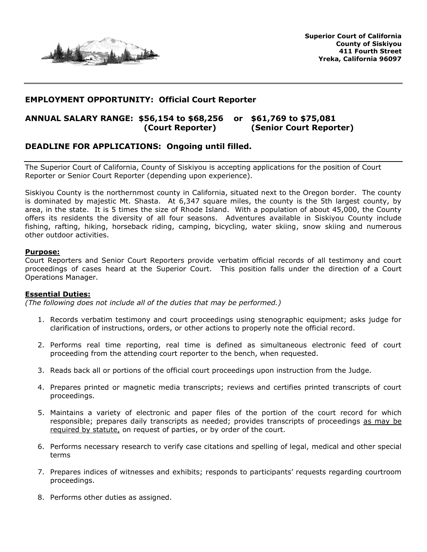

# **EMPLOYMENT OPPORTUNITY: Official Court Reporter**

# **ANNUAL SALARY RANGE: \$56,154 to \$68,256 or \$61,769 to \$75,081 (Court Reporter) (Senior Court Reporter)**

## **DEADLINE FOR APPLICATIONS: Ongoing until filled.**

The Superior Court of California, County of Siskiyou is accepting applications for the position of Court Reporter or Senior Court Reporter (depending upon experience).

Siskiyou County is the northernmost county in California, situated next to the Oregon border. The county is dominated by majestic Mt. Shasta. At 6,347 square miles, the county is the 5th largest county, by area, in the state. It is 5 times the size of Rhode Island. With a population of about 45,000, the County offers its residents the diversity of all four seasons. Adventures available in Siskiyou County include fishing, rafting, hiking, horseback riding, camping, bicycling, water skiing, snow skiing and numerous other outdoor activities.

#### **Purpose:**

Court Reporters and Senior Court Reporters provide verbatim official records of all testimony and court proceedings of cases heard at the Superior Court. This position falls under the direction of a Court Operations Manager.

#### **Essential Duties:**

*(The following does not include all of the duties that may be performed.)*

- 1. Records verbatim testimony and court proceedings using stenographic equipment; asks judge for clarification of instructions, orders, or other actions to properly note the official record.
- 2. Performs real time reporting, real time is defined as simultaneous electronic feed of court proceeding from the attending court reporter to the bench, when requested.
- 3. Reads back all or portions of the official court proceedings upon instruction from the Judge.
- 4. Prepares printed or magnetic media transcripts; reviews and certifies printed transcripts of court proceedings.
- 5. Maintains a variety of electronic and paper files of the portion of the court record for which responsible; prepares daily transcripts as needed; provides transcripts of proceedings as may be required by statute, on request of parties, or by order of the court.
- 6. Performs necessary research to verify case citations and spelling of legal, medical and other special terms
- 7. Prepares indices of witnesses and exhibits; responds to participants' requests regarding courtroom proceedings.
- 8. Performs other duties as assigned.